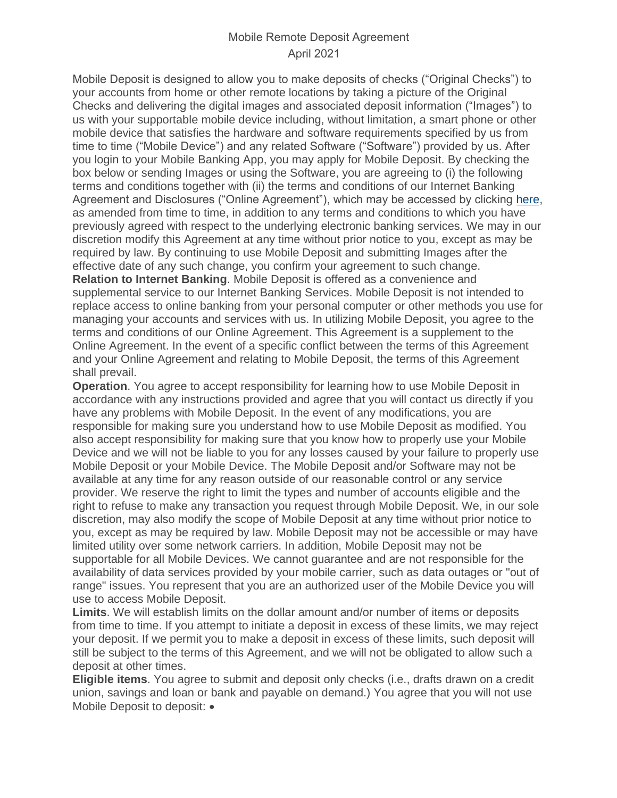## Mobile Remote Deposit Agreement April 2021

Mobile Deposit is designed to allow you to make deposits of checks ("Original Checks") to your accounts from home or other remote locations by taking a picture of the Original Checks and delivering the digital images and associated deposit information ("Images") to us with your supportable mobile device including, without limitation, a smart phone or other mobile device that satisfies the hardware and software requirements specified by us from time to time ("Mobile Device") and any related Software ("Software") provided by us. After you login to your Mobile Banking App, you may apply for Mobile Deposit. By checking the box below or sending Images or using the Software, you are agreeing to (i) the following terms and conditions together with (ii) the terms and conditions of our Internet Banking Agreement and Disclosures ("Online Agreement"), which may be accessed by clicking [here,](https://online.gatecity.bank/OnlineBankingDisclosure.aspx) as amended from time to time, in addition to any terms and conditions to which you have previously agreed with respect to the underlying electronic banking services. We may in our discretion modify this Agreement at any time without prior notice to you, except as may be required by law. By continuing to use Mobile Deposit and submitting Images after the effective date of any such change, you confirm your agreement to such change. **Relation to Internet Banking**. Mobile Deposit is offered as a convenience and supplemental service to our Internet Banking Services. Mobile Deposit is not intended to replace access to online banking from your personal computer or other methods you use for managing your accounts and services with us. In utilizing Mobile Deposit, you agree to the terms and conditions of our Online Agreement. This Agreement is a supplement to the Online Agreement. In the event of a specific conflict between the terms of this Agreement and your Online Agreement and relating to Mobile Deposit, the terms of this Agreement shall prevail.

**Operation**. You agree to accept responsibility for learning how to use Mobile Deposit in accordance with any instructions provided and agree that you will contact us directly if you have any problems with Mobile Deposit. In the event of any modifications, you are responsible for making sure you understand how to use Mobile Deposit as modified. You also accept responsibility for making sure that you know how to properly use your Mobile Device and we will not be liable to you for any losses caused by your failure to properly use Mobile Deposit or your Mobile Device. The Mobile Deposit and/or Software may not be available at any time for any reason outside of our reasonable control or any service provider. We reserve the right to limit the types and number of accounts eligible and the right to refuse to make any transaction you request through Mobile Deposit. We, in our sole discretion, may also modify the scope of Mobile Deposit at any time without prior notice to you, except as may be required by law. Mobile Deposit may not be accessible or may have limited utility over some network carriers. In addition, Mobile Deposit may not be supportable for all Mobile Devices. We cannot guarantee and are not responsible for the availability of data services provided by your mobile carrier, such as data outages or "out of range" issues. You represent that you are an authorized user of the Mobile Device you will use to access Mobile Deposit.

**Limits**. We will establish limits on the dollar amount and/or number of items or deposits from time to time. If you attempt to initiate a deposit in excess of these limits, we may reject your deposit. If we permit you to make a deposit in excess of these limits, such deposit will still be subject to the terms of this Agreement, and we will not be obligated to allow such a deposit at other times.

**Eligible items**. You agree to submit and deposit only checks (i.e., drafts drawn on a credit union, savings and loan or bank and payable on demand.) You agree that you will not use Mobile Deposit to deposit: •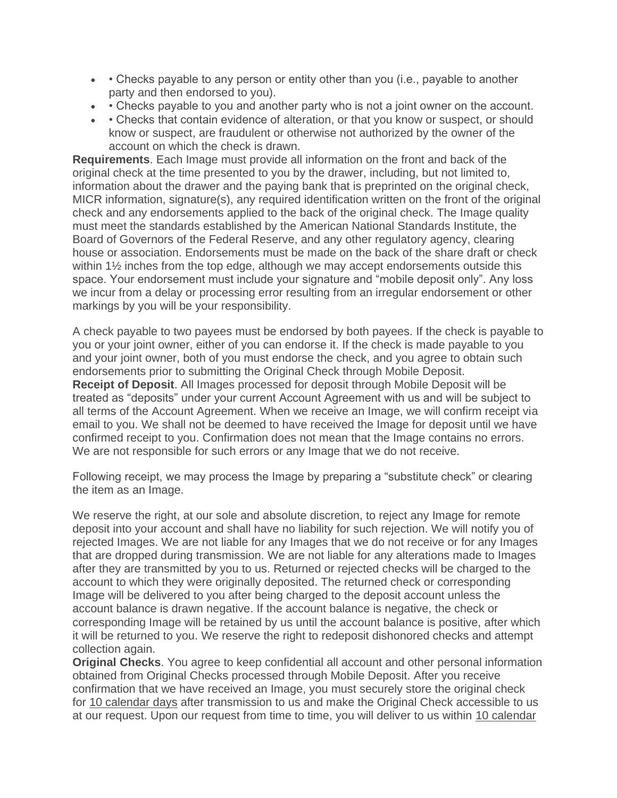- • Checks payable to any person or entity other than you (i.e., payable to another party and then endorsed to you).
- • Checks payable to you and another party who is not a joint owner on the account.
- • Checks that contain evidence of alteration, or that you know or suspect, or should know or suspect, are fraudulent or otherwise not authorized by the owner of the account on which the check is drawn.

**Requirements**. Each Image must provide all information on the front and back of the original check at the time presented to you by the drawer, including, but not limited to, information about the drawer and the paying bank that is preprinted on the original check, MICR information, signature(s), any required identification written on the front of the original check and any endorsements applied to the back of the original check. The Image quality must meet the standards established by the American National Standards Institute, the Board of Governors of the Federal Reserve, and any other regulatory agency, clearing house or association. Endorsements must be made on the back of the share draft or check within 1½ inches from the top edge, although we may accept endorsements outside this space. Your endorsement must include your signature and "mobile deposit only". Any loss we incur from a delay or processing error resulting from an irregular endorsement or other markings by you will be your responsibility.

A check payable to two payees must be endorsed by both payees. If the check is payable to you or your joint owner, either of you can endorse it. If the check is made payable to you and your joint owner, both of you must endorse the check, and you agree to obtain such endorsements prior to submitting the Original Check through Mobile Deposit. **Receipt of Deposit**. All Images processed for deposit through Mobile Deposit will be treated as "deposits" under your current Account Agreement with us and will be subject to all terms of the Account Agreement. When we receive an Image, we will confirm receipt via email to you. We shall not be deemed to have received the Image for deposit until we have confirmed receipt to you. Confirmation does not mean that the Image contains no errors. We are not responsible for such errors or any Image that we do not receive.

Following receipt, we may process the Image by preparing a "substitute check" or clearing the item as an Image.

We reserve the right, at our sole and absolute discretion, to reject any Image for remote deposit into your account and shall have no liability for such rejection. We will notify you of rejected Images. We are not liable for any Images that we do not receive or for any Images that are dropped during transmission. We are not liable for any alterations made to Images after they are transmitted by you to us. Returned or rejected checks will be charged to the account to which they were originally deposited. The returned check or corresponding Image will be delivered to you after being charged to the deposit account unless the account balance is drawn negative. If the account balance is negative, the check or corresponding Image will be retained by us until the account balance is positive, after which it will be returned to you. We reserve the right to redeposit dishonored checks and attempt collection again.

**Original Checks**. You agree to keep confidential all account and other personal information obtained from Original Checks processed through Mobile Deposit. After you receive confirmation that we have received an Image, you must securely store the original check for 10 calendar days after transmission to us and make the Original Check accessible to us at our request. Upon our request from time to time, you will deliver to us within 10 calendar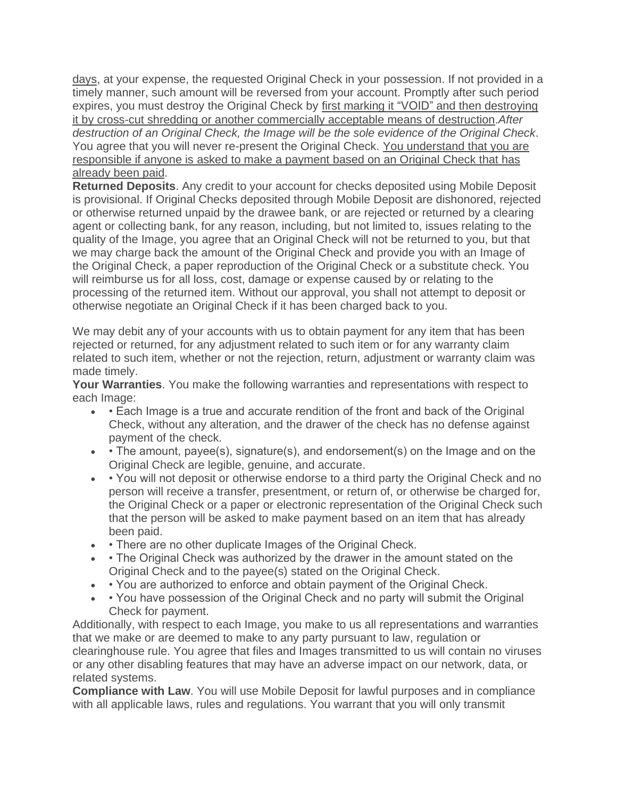days, at your expense, the requested Original Check in your possession. If not provided in a timely manner, such amount will be reversed from your account. Promptly after such period expires, you must destroy the Original Check by first marking it "VOID" and then destroying it by cross-cut shredding or another commercially acceptable means of destruction.*After destruction of an Original Check, the Image will be the sole evidence of the Original Check*. You agree that you will never re-present the Original Check. You understand that you are responsible if anyone is asked to make a payment based on an Original Check that has already been paid.

**Returned Deposits**. Any credit to your account for checks deposited using Mobile Deposit is provisional. If Original Checks deposited through Mobile Deposit are dishonored, rejected or otherwise returned unpaid by the drawee bank, or are rejected or returned by a clearing agent or collecting bank, for any reason, including, but not limited to, issues relating to the quality of the Image, you agree that an Original Check will not be returned to you, but that we may charge back the amount of the Original Check and provide you with an Image of the Original Check, a paper reproduction of the Original Check or a substitute check. You will reimburse us for all loss, cost, damage or expense caused by or relating to the processing of the returned item. Without our approval, you shall not attempt to deposit or otherwise negotiate an Original Check if it has been charged back to you.

We may debit any of your accounts with us to obtain payment for any item that has been rejected or returned, for any adjustment related to such item or for any warranty claim related to such item, whether or not the rejection, return, adjustment or warranty claim was made timely.

**Your Warranties**. You make the following warranties and representations with respect to each Image:

- • Each Image is a true and accurate rendition of the front and back of the Original Check, without any alteration, and the drawer of the check has no defense against payment of the check.
- • The amount, payee(s), signature(s), and endorsement(s) on the Image and on the Original Check are legible, genuine, and accurate.
- • You will not deposit or otherwise endorse to a third party the Original Check and no person will receive a transfer, presentment, or return of, or otherwise be charged for, the Original Check or a paper or electronic representation of the Original Check such that the person will be asked to make payment based on an item that has already been paid.
- • There are no other duplicate Images of the Original Check.
- • The Original Check was authorized by the drawer in the amount stated on the Original Check and to the payee(s) stated on the Original Check.
- • You are authorized to enforce and obtain payment of the Original Check.
- • You have possession of the Original Check and no party will submit the Original Check for payment.

Additionally, with respect to each Image, you make to us all representations and warranties that we make or are deemed to make to any party pursuant to law, regulation or clearinghouse rule. You agree that files and Images transmitted to us will contain no viruses or any other disabling features that may have an adverse impact on our network, data, or related systems.

**Compliance with Law**. You will use Mobile Deposit for lawful purposes and in compliance with all applicable laws, rules and regulations. You warrant that you will only transmit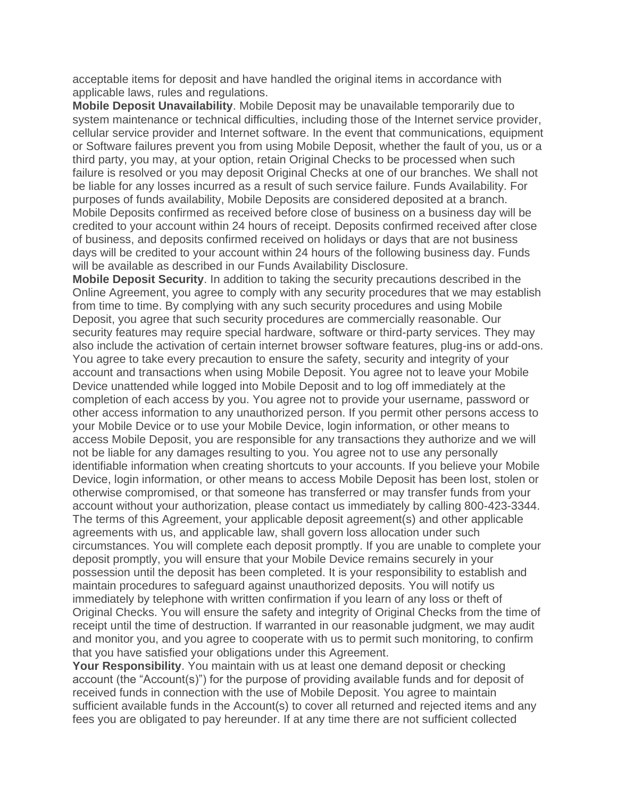acceptable items for deposit and have handled the original items in accordance with applicable laws, rules and regulations.

**Mobile Deposit Unavailability**. Mobile Deposit may be unavailable temporarily due to system maintenance or technical difficulties, including those of the Internet service provider, cellular service provider and Internet software. In the event that communications, equipment or Software failures prevent you from using Mobile Deposit, whether the fault of you, us or a third party, you may, at your option, retain Original Checks to be processed when such failure is resolved or you may deposit Original Checks at one of our branches. We shall not be liable for any losses incurred as a result of such service failure. Funds Availability. For purposes of funds availability, Mobile Deposits are considered deposited at a branch. Mobile Deposits confirmed as received before close of business on a business day will be credited to your account within 24 hours of receipt. Deposits confirmed received after close of business, and deposits confirmed received on holidays or days that are not business days will be credited to your account within 24 hours of the following business day. Funds will be available as described in our Funds Availability Disclosure.

**Mobile Deposit Security**. In addition to taking the security precautions described in the Online Agreement, you agree to comply with any security procedures that we may establish from time to time. By complying with any such security procedures and using Mobile Deposit, you agree that such security procedures are commercially reasonable. Our security features may require special hardware, software or third-party services. They may also include the activation of certain internet browser software features, plug-ins or add-ons. You agree to take every precaution to ensure the safety, security and integrity of your account and transactions when using Mobile Deposit. You agree not to leave your Mobile Device unattended while logged into Mobile Deposit and to log off immediately at the completion of each access by you. You agree not to provide your username, password or other access information to any unauthorized person. If you permit other persons access to your Mobile Device or to use your Mobile Device, login information, or other means to access Mobile Deposit, you are responsible for any transactions they authorize and we will not be liable for any damages resulting to you. You agree not to use any personally identifiable information when creating shortcuts to your accounts. If you believe your Mobile Device, login information, or other means to access Mobile Deposit has been lost, stolen or otherwise compromised, or that someone has transferred or may transfer funds from your account without your authorization, please contact us immediately by calling 800-423-3344. The terms of this Agreement, your applicable deposit agreement(s) and other applicable agreements with us, and applicable law, shall govern loss allocation under such circumstances. You will complete each deposit promptly. If you are unable to complete your deposit promptly, you will ensure that your Mobile Device remains securely in your possession until the deposit has been completed. It is your responsibility to establish and maintain procedures to safeguard against unauthorized deposits. You will notify us immediately by telephone with written confirmation if you learn of any loss or theft of Original Checks. You will ensure the safety and integrity of Original Checks from the time of receipt until the time of destruction. If warranted in our reasonable judgment, we may audit and monitor you, and you agree to cooperate with us to permit such monitoring, to confirm that you have satisfied your obligations under this Agreement.

**Your Responsibility**. You maintain with us at least one demand deposit or checking account (the "Account(s)") for the purpose of providing available funds and for deposit of received funds in connection with the use of Mobile Deposit. You agree to maintain sufficient available funds in the Account(s) to cover all returned and rejected items and any fees you are obligated to pay hereunder. If at any time there are not sufficient collected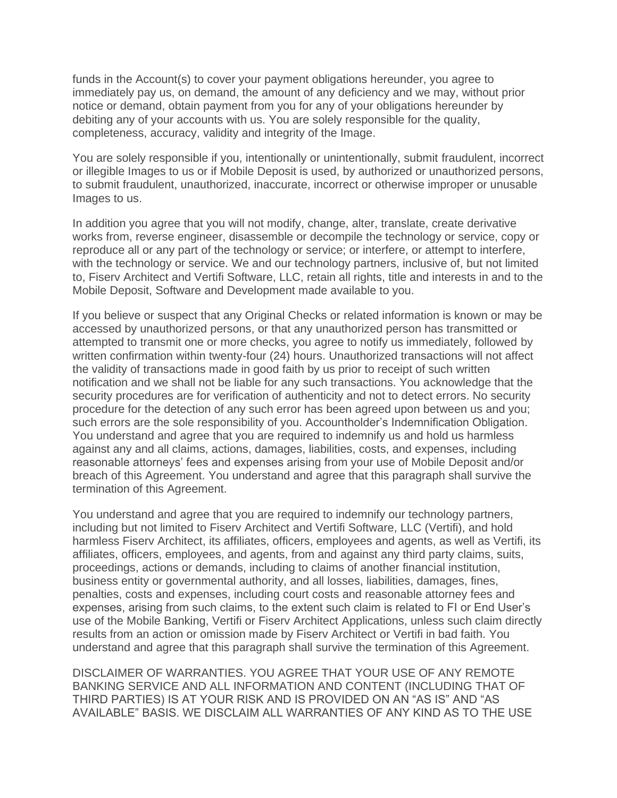funds in the Account(s) to cover your payment obligations hereunder, you agree to immediately pay us, on demand, the amount of any deficiency and we may, without prior notice or demand, obtain payment from you for any of your obligations hereunder by debiting any of your accounts with us. You are solely responsible for the quality, completeness, accuracy, validity and integrity of the Image.

You are solely responsible if you, intentionally or unintentionally, submit fraudulent, incorrect or illegible Images to us or if Mobile Deposit is used, by authorized or unauthorized persons, to submit fraudulent, unauthorized, inaccurate, incorrect or otherwise improper or unusable Images to us.

In addition you agree that you will not modify, change, alter, translate, create derivative works from, reverse engineer, disassemble or decompile the technology or service, copy or reproduce all or any part of the technology or service; or interfere, or attempt to interfere, with the technology or service. We and our technology partners, inclusive of, but not limited to, Fiserv Architect and Vertifi Software, LLC, retain all rights, title and interests in and to the Mobile Deposit, Software and Development made available to you.

If you believe or suspect that any Original Checks or related information is known or may be accessed by unauthorized persons, or that any unauthorized person has transmitted or attempted to transmit one or more checks, you agree to notify us immediately, followed by written confirmation within twenty-four (24) hours. Unauthorized transactions will not affect the validity of transactions made in good faith by us prior to receipt of such written notification and we shall not be liable for any such transactions. You acknowledge that the security procedures are for verification of authenticity and not to detect errors. No security procedure for the detection of any such error has been agreed upon between us and you; such errors are the sole responsibility of you. Accountholder's Indemnification Obligation. You understand and agree that you are required to indemnify us and hold us harmless against any and all claims, actions, damages, liabilities, costs, and expenses, including reasonable attorneys' fees and expenses arising from your use of Mobile Deposit and/or breach of this Agreement. You understand and agree that this paragraph shall survive the termination of this Agreement.

You understand and agree that you are required to indemnify our technology partners, including but not limited to Fiserv Architect and Vertifi Software, LLC (Vertifi), and hold harmless Fiserv Architect, its affiliates, officers, employees and agents, as well as Vertifi, its affiliates, officers, employees, and agents, from and against any third party claims, suits, proceedings, actions or demands, including to claims of another financial institution, business entity or governmental authority, and all losses, liabilities, damages, fines, penalties, costs and expenses, including court costs and reasonable attorney fees and expenses, arising from such claims, to the extent such claim is related to FI or End User's use of the Mobile Banking, Vertifi or Fiserv Architect Applications, unless such claim directly results from an action or omission made by Fiserv Architect or Vertifi in bad faith. You understand and agree that this paragraph shall survive the termination of this Agreement.

DISCLAIMER OF WARRANTIES. YOU AGREE THAT YOUR USE OF ANY REMOTE BANKING SERVICE AND ALL INFORMATION AND CONTENT (INCLUDING THAT OF THIRD PARTIES) IS AT YOUR RISK AND IS PROVIDED ON AN "AS IS" AND "AS AVAILABLE" BASIS. WE DISCLAIM ALL WARRANTIES OF ANY KIND AS TO THE USE